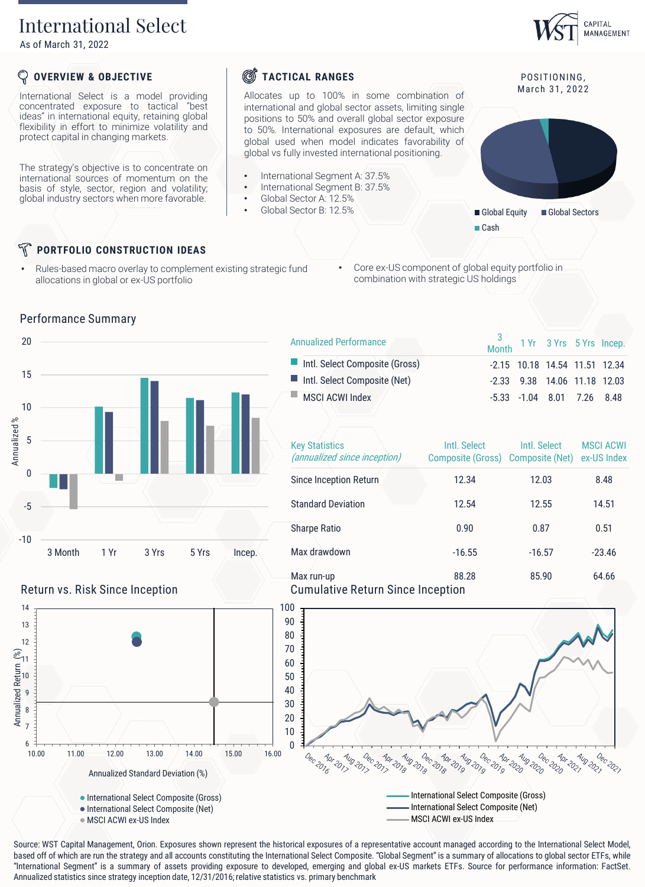# International Select

As of March 31, 2022

## **OVERVIEW & OBJECTIVE**

International Select is a model providing concentrated exposure to tactical "best ideas" in international equity, retaining global flexibility in effort to minimize volatility and protect capital in changing markets.

The strategy's objective is to concentrate on international sources of momentum on the basis of style, sector, region and volatility; global industry sectors when more favorable.

# **S**TACTICAL RANGES

Allocates up to 100% in some combination of international and global sector assets, limiting single positions to 50% and overall global sector exposure to 50%. International exposures are default, which global used when model indicates favorability of global vs fully invested international positioning.

- International Segment A: 37.5%
- International Segment B: 37.5%
- Global Sector A: 12.5%
	- Global Sector B: 12.5%



CAPITAL MANAGEMENT

Global Equity Global Sectors ■ Cash

## **PORTFOLIO CONSTRUCTION IDEAS**

- Rules-based macro overlay to complement existing strategic fund allocations in global or ex-US portfolio
- Core ex-US component of global equity portfolio in combination with strategic US holdings





| <b>Annualized Performance</b>  | 3<br>Month 1 Yr 3 Yrs 5 Yrs Incep. |                                        |  |
|--------------------------------|------------------------------------|----------------------------------------|--|
| Intl. Select Composite (Gross) |                                    | $-2.15$ 10.18 14.54 11.51 12.34        |  |
| Intl. Select Composite (Net)   |                                    | $-2.33$ $9.38$ $14.06$ $11.18$ $12.03$ |  |
| MSCLACWLIndex                  |                                    | $-5.33$ $-1.04$ 8.01 7.26 8.48         |  |
|                                |                                    |                                        |  |

| <b>Key Statistics</b><br>(annualized since inception) | Intl. Select<br>Composite (Gross) Composite (Net) | Intl. Select | <b>MSCI ACWI</b><br>ex-US Index |
|-------------------------------------------------------|---------------------------------------------------|--------------|---------------------------------|
| Since Inception Return                                | 12.34                                             | 12.03        | 8.48                            |
| <b>Standard Deviation</b>                             | 12.54                                             | 12.55        | 14.51                           |
| <b>Sharpe Ratio</b>                                   | 0.90                                              | 0.87         | 0.51                            |
| Max drawdown                                          | $-16.55$                                          | $-16.57$     | $-23.46$                        |
| Max run-up<br>Cumulative Return Since Incention       | 88.28                                             | 85.90        | 64.66                           |



Source: WST Capital Management, Orion. Exposures shown represent the historical exposures of a representative account managed according to the International Select Model, based off of which are run the strategy and all accounts constituting the International Select Composite. "Global Segment" is a summary of allocations to global sector ETFs, while "International Segment" is a summary of assets providing exposure to developed, emerging and global ex-US markets ETFs. Source for performance information: FactSet.



6 7 8 9 Annualized Return<br> $\frac{1}{2}$   $\approx$   $\frac{1}{2}$   $\approx$ 

Annualized Return (%)